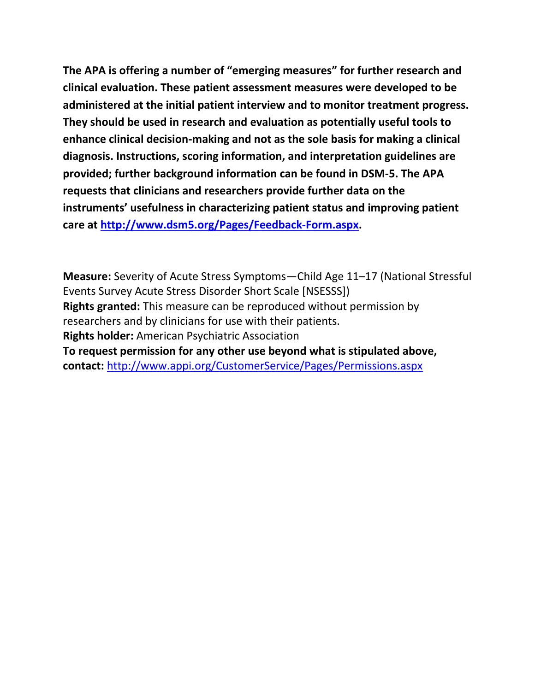**The APA is offering a number of "emerging measures" for further research and clinical evaluation. These patient assessment measures were developed to be administered at the initial patient interview and to monitor treatment progress. They should be used in research and evaluation as potentially useful tools to enhance clinical decision-making and not as the sole basis for making a clinical diagnosis. Instructions, scoring information, and interpretation guidelines are provided; further background information can be found in DSM-5. The APA requests that clinicians and researchers provide further data on the instruments' usefulness in characterizing patient status and improving patient care at [http://www.dsm5.org/Pages/Feedback-Form.aspx.](http://www.dsm5.org/Pages/Feedback-Form.aspx)**

**Measure:** Severity of Acute Stress Symptoms—Child Age 11–17 (National Stressful Events Survey Acute Stress Disorder Short Scale [NSESSS]) **Rights granted:** This measure can be reproduced without permission by researchers and by clinicians for use with their patients. **Rights holder:** American Psychiatric Association **To request permission for any other use beyond what is stipulated above, contact:** <http://www.appi.org/CustomerService/Pages/Permissions.aspx>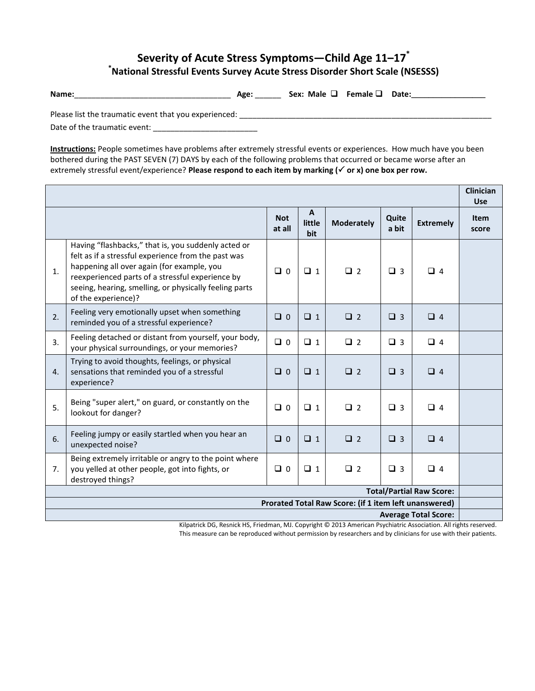## **Severity of Acute Stress Symptoms—Child Age 11–17\* \*National Stressful Events Survey Acute Stress Disorder Short Scale (NSESSS)**

**Name:**\_\_\_\_\_\_\_\_\_\_\_\_\_\_\_\_\_\_\_\_\_\_\_\_\_\_\_\_\_\_\_\_\_\_\_\_ **Age:** \_\_\_\_\_\_ **Sex: Male Female Date:\_\_\_\_\_\_\_\_\_\_\_\_\_\_\_\_\_**

Please list the traumatic event that you experienced: \_\_\_\_\_\_\_\_\_\_\_\_\_\_\_\_\_\_\_\_\_\_\_\_\_\_\_\_\_\_\_\_\_\_\_\_\_\_\_\_\_\_\_\_\_\_\_\_\_\_\_\_\_\_\_\_\_\_

Date of the traumatic event: \_\_\_\_\_\_\_\_\_\_\_\_\_\_\_\_\_\_\_\_\_\_\_\_

**Instructions:** People sometimes have problems after extremely stressful events or experiences. How much have you been bothered during the PAST SEVEN (7) DAYS by each of the following problems that occurred or became worse after an extremely stressful event/experience? **Please respond to each item by marking (√ or x) one box per row.** 

|                                                                                      |                                                                                                                                                                                                                                                                                               |                      |                    |                   |                |                  | <b>Clinician</b><br><b>Use</b> |
|--------------------------------------------------------------------------------------|-----------------------------------------------------------------------------------------------------------------------------------------------------------------------------------------------------------------------------------------------------------------------------------------------|----------------------|--------------------|-------------------|----------------|------------------|--------------------------------|
|                                                                                      |                                                                                                                                                                                                                                                                                               | <b>Not</b><br>at all | A<br>little<br>bit | <b>Moderately</b> | Quite<br>a bit | <b>Extremely</b> | <b>Item</b><br>score           |
| 1.                                                                                   | Having "flashbacks," that is, you suddenly acted or<br>felt as if a stressful experience from the past was<br>happening all over again (for example, you<br>reexperienced parts of a stressful experience by<br>seeing, hearing, smelling, or physically feeling parts<br>of the experience)? | $\Box$ 0             | $\Box$ 1           | $\Box$ 2          | $\Box$ 3       | $\Box$ 4         |                                |
| 2.                                                                                   | Feeling very emotionally upset when something<br>reminded you of a stressful experience?                                                                                                                                                                                                      | $\Box$ 0             | $\Box$ 1           | $\Box$ 2          | $\Box$ 3       | $\Box$ 4         |                                |
| 3.                                                                                   | Feeling detached or distant from yourself, your body,<br>your physical surroundings, or your memories?                                                                                                                                                                                        | $\Box$ 0             | $\Box$ 1           | $\Box$ 2          | $\Box$ 3       | $\Box$ 4         |                                |
| 4.                                                                                   | Trying to avoid thoughts, feelings, or physical<br>sensations that reminded you of a stressful<br>experience?                                                                                                                                                                                 | $\Box$ 0             | $\Box$ 1           | $\Box$ 2          | $\Box$ 3       | $\Box$ 4         |                                |
| 5.                                                                                   | Being "super alert," on guard, or constantly on the<br>lookout for danger?                                                                                                                                                                                                                    | $\Box$ 0             | $\Box$ 1           | $\Box$ 2          | $\Box$ 3       | $\Box$ 4         |                                |
| 6.                                                                                   | Feeling jumpy or easily startled when you hear an<br>unexpected noise?                                                                                                                                                                                                                        | $\Box$ 0             | $\Box$ 1           | $\Box$ 2          | $\Box$ 3       | $\Box$ 4         |                                |
| 7.                                                                                   | Being extremely irritable or angry to the point where<br>you yelled at other people, got into fights, or<br>destroyed things?                                                                                                                                                                 | $\Box$ 0             | $\Box$ 1           | $\Box$ 2          | $\Box$ 3       | $\Box$ 4         |                                |
| <b>Total/Partial Raw Score:</b>                                                      |                                                                                                                                                                                                                                                                                               |                      |                    |                   |                |                  |                                |
| Prorated Total Raw Score: (if 1 item left unanswered)<br><b>Average Total Score:</b> |                                                                                                                                                                                                                                                                                               |                      |                    |                   |                |                  |                                |
|                                                                                      |                                                                                                                                                                                                                                                                                               |                      |                    |                   |                |                  |                                |

Kilpatrick DG, Resnick HS, Friedman, MJ. Copyright © 2013 American Psychiatric Association. All rights reserved. This measure can be reproduced without permission by researchers and by clinicians for use with their patients.